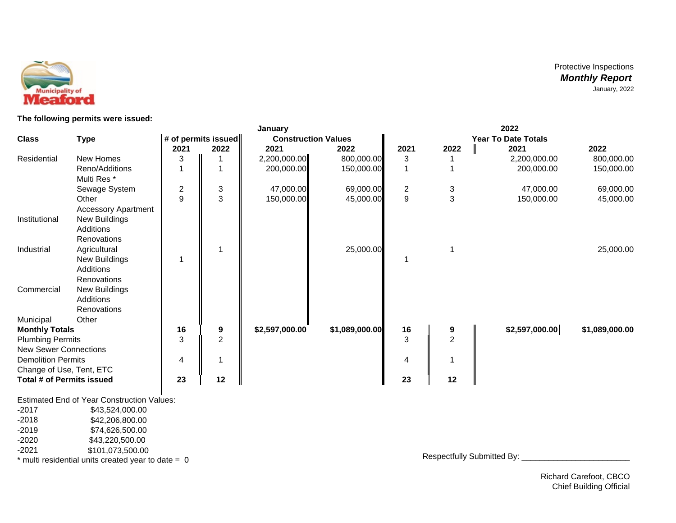

**The following permits were issued:**

|                              |                                                  |                     | January        |                            |                |                            | 2022           |  |                |                |  |  |
|------------------------------|--------------------------------------------------|---------------------|----------------|----------------------------|----------------|----------------------------|----------------|--|----------------|----------------|--|--|
| <b>Class</b>                 | <b>Type</b>                                      | # of permits issued |                | <b>Construction Values</b> |                | <b>Year To Date Totals</b> |                |  |                |                |  |  |
|                              |                                                  | 2021                | 2022           | 2021                       | 2022           | 2021                       | 2022           |  | 2021           | 2022           |  |  |
| Residential                  | New Homes                                        | 3                   |                | 2,200,000.00               | 800,000.00     | 3                          |                |  | 2,200,000.00   | 800,000.00     |  |  |
|                              | Reno/Additions<br>Multi Res <sup>*</sup>         |                     |                | 200,000.00                 | 150,000.00     |                            |                |  | 200,000.00     | 150,000.00     |  |  |
|                              | Sewage System                                    | 2                   | $\sqrt{3}$     | 47,000.00                  | 69,000.00      | $\overline{c}$             | 3              |  | 47,000.00      | 69,000.00      |  |  |
|                              | Other<br><b>Accessory Apartment</b>              | 9                   | 3              | 150,000.00                 | 45,000.00      | 9                          | 3              |  | 150,000.00     | 45,000.00      |  |  |
| Institutional                | New Buildings<br>Additions<br><b>Renovations</b> |                     |                |                            |                |                            |                |  |                |                |  |  |
| Industrial                   | Agricultural                                     |                     |                |                            | 25,000.00      |                            |                |  |                | 25,000.00      |  |  |
|                              | <b>New Buildings</b>                             |                     |                |                            |                |                            |                |  |                |                |  |  |
|                              | Additions                                        |                     |                |                            |                |                            |                |  |                |                |  |  |
|                              | Renovations                                      |                     |                |                            |                |                            |                |  |                |                |  |  |
| Commercial                   | <b>New Buildings</b>                             |                     |                |                            |                |                            |                |  |                |                |  |  |
|                              | Additions                                        |                     |                |                            |                |                            |                |  |                |                |  |  |
|                              | Renovations                                      |                     |                |                            |                |                            |                |  |                |                |  |  |
| Municipal                    | Other                                            |                     |                |                            |                |                            |                |  |                |                |  |  |
| <b>Monthly Totals</b>        |                                                  | 16                  | 9              | \$2,597,000.00             | \$1,089,000.00 | 16                         | 9              |  | \$2,597,000.00 | \$1,089,000.00 |  |  |
| <b>Plumbing Permits</b>      |                                                  | 3                   | $\overline{2}$ |                            |                | 3                          | $\overline{2}$ |  |                |                |  |  |
| <b>New Sewer Connections</b> |                                                  |                     |                |                            |                |                            |                |  |                |                |  |  |
| <b>Demolition Permits</b>    |                                                  | 4                   |                |                            |                | 4                          |                |  |                |                |  |  |
| Change of Use, Tent, ETC     |                                                  |                     |                |                            |                |                            |                |  |                |                |  |  |
| Total # of Permits issued    |                                                  | 23                  | 12             |                            |                | 23                         | 12             |  |                |                |  |  |

Estimated End of Year Construction Values:

-2017 \$43,524,000.00<br>-2018 \$42,206,800.00

-2018 \$42,206,800.00<br>-2019 \$74,626,500.00 -2019 \$74,626,500.00<br>-2020 \$43,220,500.00

-2020 \$43,220,500.00

\$101,073,500.00

 $*$  multi residential units created year to date =  $0$ 

Respectfully Submitted By: \_\_\_\_\_\_\_\_\_\_\_\_\_\_\_\_\_\_\_\_\_\_\_\_